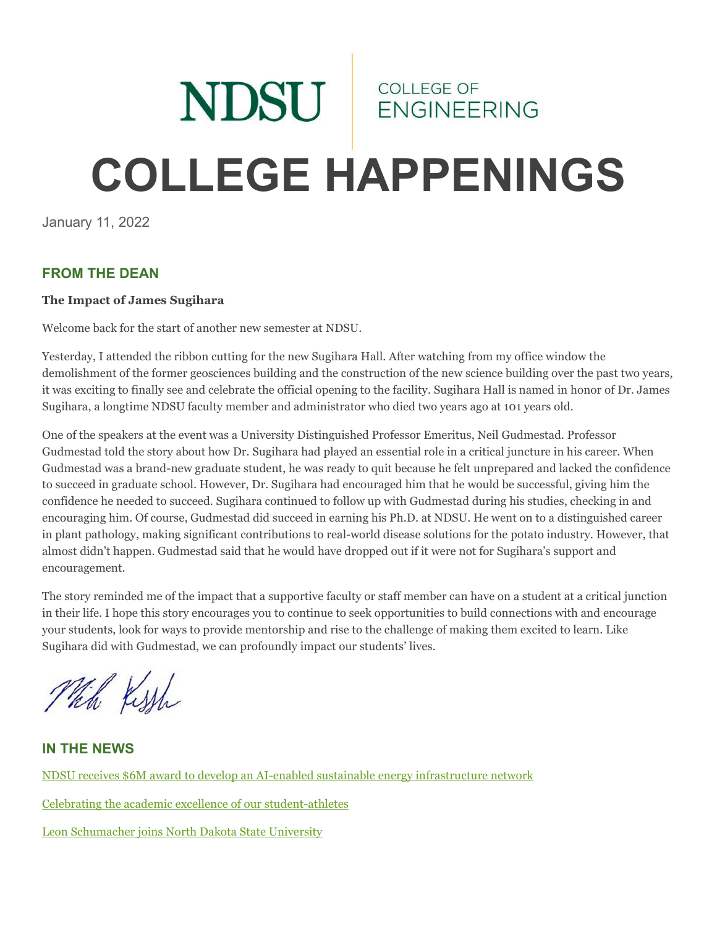# NDSU ENGINEERING **COLLEGE HAPPENINGS**

January 11, 2022

#### **FROM THE DEAN**

#### **The Impact of James Sugihara**

Welcome back for the start of another new semester at NDSU.

Yesterday, I attended the ribbon cutting for the new Sugihara Hall. After watching from my office window the demolishment of the former geosciences building and the construction of the new science building over the past two years, it was exciting to finally see and celebrate the official opening to the facility. Sugihara Hall is named in honor of Dr. James Sugihara, a longtime NDSU faculty member and administrator who died two years ago at 101 years old.

One of the speakers at the event was a University Distinguished Professor Emeritus, Neil Gudmestad. Professor Gudmestad told the story about how Dr. Sugihara had played an essential role in a critical juncture in his career. When Gudmestad was a brand-new graduate student, he was ready to quit because he felt unprepared and lacked the confidence to succeed in graduate school. However, Dr. Sugihara had encouraged him that he would be successful, giving him the confidence he needed to succeed. Sugihara continued to follow up with Gudmestad during his studies, checking in and encouraging him. Of course, Gudmestad did succeed in earning his Ph.D. at NDSU. He went on to a distinguished career in plant pathology, making significant contributions to real-world disease solutions for the potato industry. However, that almost didn't happen. Gudmestad said that he would have dropped out if it were not for Sugihara's support and encouragement.

The story reminded me of the impact that a supportive faculty or staff member can have on a student at a critical junction in their life. I hope this story encourages you to continue to seek opportunities to build connections with and encourage your students, look for ways to provide mentorship and rise to the challenge of making them excited to learn. Like Sugihara did with Gudmestad, we can profoundly impact our students' lives.

Thin Kissh

**IN THE NEWS**

[NDSU receives \\$6M award to develop an AI-enabled sustainable energy infrastructure network](https://www.ndsu.edu/research/news/features/track_2_ying/) [Celebrating the academic excellence of our student-athletes](https://www.ndsu.edu/news/view/detail/66994/)

[Leon Schumacher joins North Dakota State University](https://www.agweek.com/business/agriculture/7333375-Leon-Schumacher-joins-North-Dakota-State-University)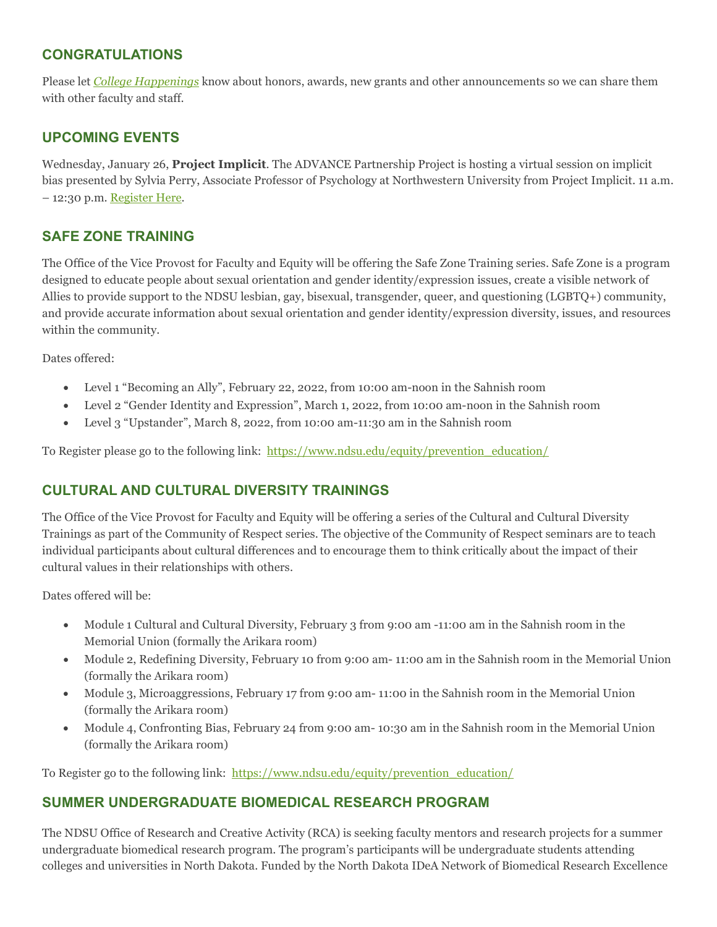#### **CONGRATULATIONS**

Please let *[College Happenings](mailto:kyle.bosch@ndsu.edu)* know about honors, awards, new grants and other announcements so we can share them with other faculty and staff.

## **UPCOMING EVENTS**

Wednesday, January 26, **Project Implicit**. The ADVANCE Partnership Project is hosting a virtual session on implicit bias presented by Sylvia Perry, Associate Professor of Psychology at Northwestern University from Project Implicit. 11 a.m.  $-12:30$  p.m. [Register Here.](https://docs.google.com/forms/d/1bxjD1Bh2yzM43LQlSHdjuiHT0ffsW6JKwVuvfQ1-SLw/viewform?edit_requested=true)

# **SAFE ZONE TRAINING**

The Office of the Vice Provost for Faculty and Equity will be offering the Safe Zone Training series. Safe Zone is a program designed to educate people about sexual orientation and gender identity/expression issues, create a visible network of Allies to provide support to the NDSU lesbian, gay, bisexual, transgender, queer, and questioning (LGBTQ+) community, and provide accurate information about sexual orientation and gender identity/expression diversity, issues, and resources within the community.

Dates offered:

- Level 1 "Becoming an Ally", February 22, 2022, from 10:00 am-noon in the Sahnish room
- Level 2 "Gender Identity and Expression", March 1, 2022, from 10:00 am-noon in the Sahnish room
- Level 3 "Upstander", March 8, 2022, from 10:00 am-11:30 am in the Sahnish room

To Register please go to the following link: https://www.ndsu.edu/equity/prevention education/

#### **CULTURAL AND CULTURAL DIVERSITY TRAININGS**

The Office of the Vice Provost for Faculty and Equity will be offering a series of the Cultural and Cultural Diversity Trainings as part of the Community of Respect series. The objective of the Community of Respect seminars are to teach individual participants about cultural differences and to encourage them to think critically about the impact of their cultural values in their relationships with others.

Dates offered will be:

- Module 1 Cultural and Cultural Diversity, February 3 from 9:00 am -11:00 am in the Sahnish room in the Memorial Union (formally the Arikara room)
- Module 2, Redefining Diversity, February 10 from 9:00 am- 11:00 am in the Sahnish room in the Memorial Union (formally the Arikara room)
- Module 3, Microaggressions, February 17 from 9:00 am- 11:00 in the Sahnish room in the Memorial Union (formally the Arikara room)
- Module 4, Confronting Bias, February 24 from 9:00 am- 10:30 am in the Sahnish room in the Memorial Union (formally the Arikara room)

To Register go to the following link: [https://www.ndsu.edu/equity/prevention\\_education/](https://www.ndsu.edu/equity/prevention_education/)

#### **SUMMER UNDERGRADUATE BIOMEDICAL RESEARCH PROGRAM**

The NDSU Office of Research and Creative Activity (RCA) is seeking faculty mentors and research projects for a summer undergraduate biomedical research program. The program's participants will be undergraduate students attending colleges and universities in North Dakota. Funded by the North Dakota IDeA Network of Biomedical Research Excellence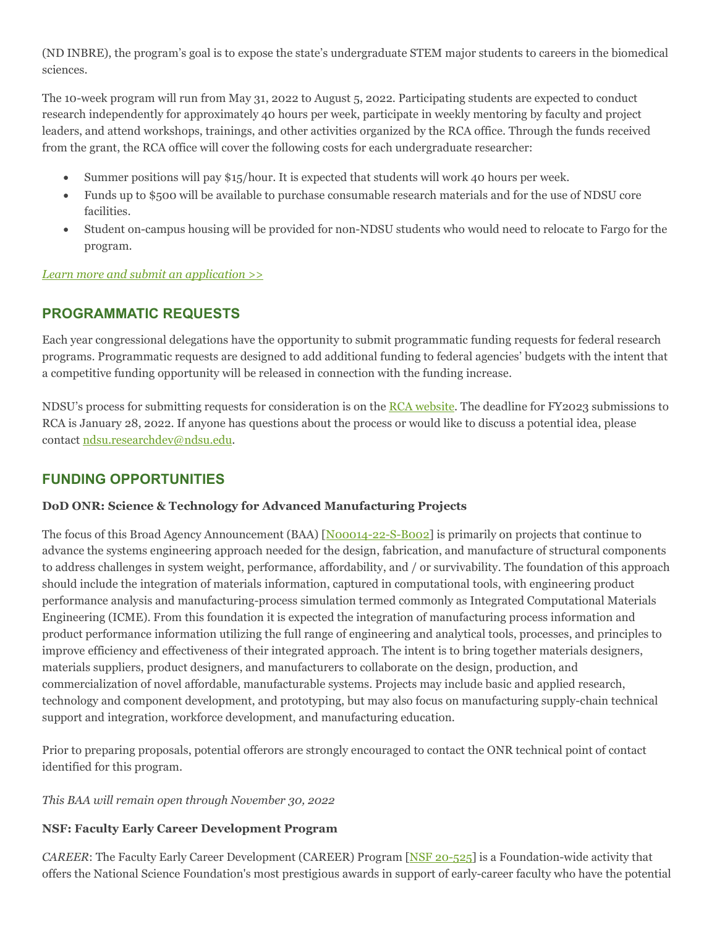(ND INBRE), the program's goal is to expose the state's undergraduate STEM major students to careers in the biomedical sciences.

The 10-week program will run from May 31, 2022 to August 5, 2022. Participating students are expected to conduct research independently for approximately 40 hours per week, participate in weekly mentoring by faculty and project leaders, and attend workshops, trainings, and other activities organized by the RCA office. Through the funds received from the grant, the RCA office will cover the following costs for each undergraduate researcher:

- Summer positions will pay \$15/hour. It is expected that students will work 40 hours per week.
- Funds up to \$500 will be available to purchase consumable research materials and for the use of NDSU core facilities.
- Student on-campus housing will be provided for non-NDSU students who would need to relocate to Fargo for the program.

*[Learn more and submit an application >>](https://www.ndsu.edu/research/for_students/summerbiomed2022/)*

### **PROGRAMMATIC REQUESTS**

Each year congressional delegations have the opportunity to submit programmatic funding requests for federal research programs. Programmatic requests are designed to add additional funding to federal agencies' budgets with the intent that a competitive funding opportunity will be released in connection with the funding increase.

NDSU's process for submitting requests for consideration is on the [RCA website.](https://ndsu.us19.list-manage.com/track/click?u=6c5d98a898bad27df38e6394a&id=7dd2ce9c42&e=ca813aff99) The deadline for FY2023 submissions to RCA is January 28, 2022. If anyone has questions about the process or would like to discuss a potential idea, please contact [ndsu.researchdev@ndsu.edu.](mailto:ndsu.researchdev@ndsu.edu)

#### **FUNDING OPPORTUNITIES**

#### **DoD ONR: Science & Technology for Advanced Manufacturing Projects**

The focus of this Broad Agency Announcement (BAA) [\[N00014-22-S-B002\]](https://ndsu.us19.list-manage.com/track/click?u=6c5d98a898bad27df38e6394a&id=a644c9402d&e=ca813aff99) is primarily on projects that continue to advance the systems engineering approach needed for the design, fabrication, and manufacture of structural components to address challenges in system weight, performance, affordability, and / or survivability. The foundation of this approach should include the integration of materials information, captured in computational tools, with engineering product performance analysis and manufacturing-process simulation termed commonly as Integrated Computational Materials Engineering (ICME). From this foundation it is expected the integration of manufacturing process information and product performance information utilizing the full range of engineering and analytical tools, processes, and principles to improve efficiency and effectiveness of their integrated approach. The intent is to bring together materials designers, materials suppliers, product designers, and manufacturers to collaborate on the design, production, and commercialization of novel affordable, manufacturable systems. Projects may include basic and applied research, technology and component development, and prototyping, but may also focus on manufacturing supply-chain technical support and integration, workforce development, and manufacturing education.

Prior to preparing proposals, potential offerors are strongly encouraged to contact the ONR technical point of contact identified for this program.

*This BAA will remain open through November 30, 2022*

#### **NSF: Faculty Early Career Development Program**

*CAREER*: The Faculty Early Career Development (CAREER) Program [\[NSF 20-525\]](https://ndsu.us19.list-manage.com/track/click?u=6c5d98a898bad27df38e6394a&id=7de21c60ac&e=ca813aff99) is a Foundation-wide activity that offers the National Science Foundation's most prestigious awards in support of early-career faculty who have the potential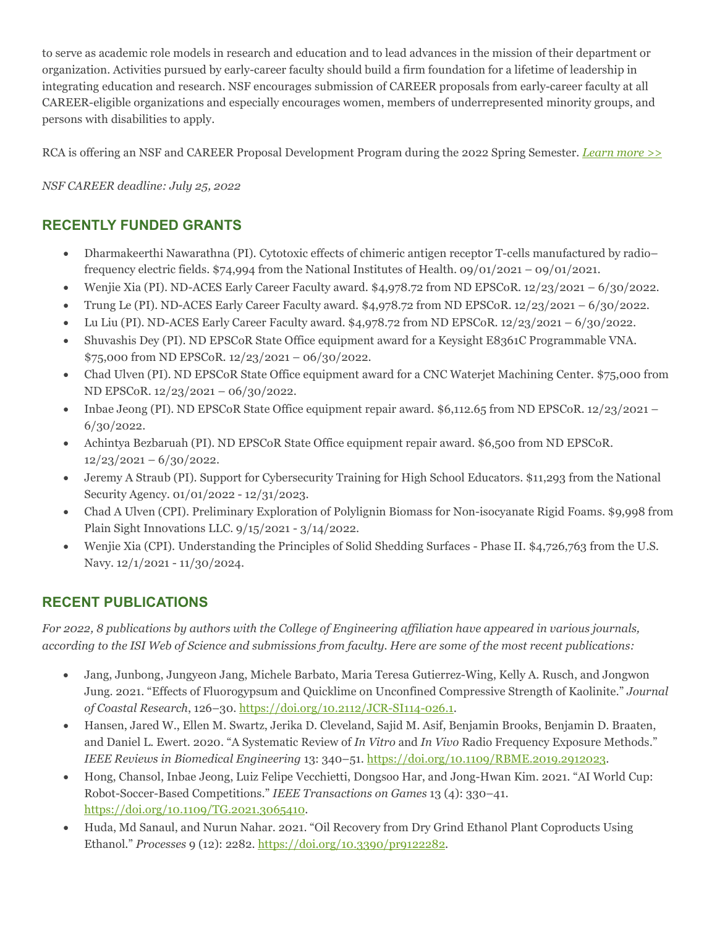to serve as academic role models in research and education and to lead advances in the mission of their department or organization. Activities pursued by early-career faculty should build a firm foundation for a lifetime of leadership in integrating education and research. NSF encourages submission of CAREER proposals from early-career faculty at all CAREER-eligible organizations and especially encourages women, members of underrepresented minority groups, and persons with disabilities to apply.

RCA is offering an NSF and CAREER Proposal Development Program during the 2022 Spring Semester*. [Learn more >>](https://ndsu.us19.list-manage.com/track/click?u=6c5d98a898bad27df38e6394a&id=c9a6436b63&e=ca813aff99)*

#### *NSF CAREER deadline: July 25, 2022*

## **RECENTLY FUNDED GRANTS**

- Dharmakeerthi Nawarathna (PI). Cytotoxic effects of chimeric antigen receptor T-cells manufactured by radio– frequency electric fields. \$74,994 from the National Institutes of Health. 09/01/2021 – 09/01/2021.
- Wenjie Xia (PI). ND-ACES Early Career Faculty award. \$4,978.72 from ND EPSCoR. 12/23/2021 6/30/2022.
- Trung Le (PI). ND-ACES Early Career Faculty award.  $$4,978.72$  from ND EPSCoR.  $12/23/2021 6/30/2022$ .
- Lu Liu (PI). ND-ACES Early Career Faculty award.  $$4,978.72$  from ND EPSCoR.  $12/23/2021 6/30/2022$ .
- Shuvashis Dey (PI). ND EPSCoR State Office equipment award for a Keysight E8361C Programmable VNA. \$75,000 from ND EPSCoR. 12/23/2021 – 06/30/2022.
- Chad Ulven (PI). ND EPSCoR State Office equipment award for a CNC Waterjet Machining Center. \$75,000 from ND EPSCoR. 12/23/2021 – 06/30/2022.
- Inbae Jeong (PI). ND EPSCoR State Office equipment repair award. \$6,112.65 from ND EPSCoR. 12/23/2021 6/30/2022.
- Achintya Bezbaruah (PI). ND EPSCoR State Office equipment repair award. \$6,500 from ND EPSCoR.  $12/23/2021 - 6/30/2022$ .
- Jeremy A Straub (PI). Support for Cybersecurity Training for High School Educators. \$11,293 from the National Security Agency. 01/01/2022 - 12/31/2023.
- Chad A Ulven (CPI). Preliminary Exploration of Polylignin Biomass for Non-isocyanate Rigid Foams. \$9,998 from Plain Sight Innovations LLC. 9/15/2021 - 3/14/2022.
- Wenjie Xia (CPI). Understanding the Principles of Solid Shedding Surfaces Phase II. \$4,726,763 from the U.S. Navy. 12/1/2021 - 11/30/2024.

# **RECENT PUBLICATIONS**

*For 2022, 8 publications by authors with the College of Engineering affiliation have appeared in various journals, according to the ISI Web of Science and submissions from faculty. Here are some of the most recent publications:*

- Jang, Junbong, Jungyeon Jang, Michele Barbato, Maria Teresa Gutierrez-Wing, Kelly A. Rusch, and Jongwon Jung. 2021. "Effects of Fluorogypsum and Quicklime on Unconfined Compressive Strength of Kaolinite." *Journal of Coastal Research*, 126–30[. https://doi.org/10.2112/JCR-SI114-026.1.](https://doi.org/10.2112/JCR-SI114-026.1)
- Hansen, Jared W., Ellen M. Swartz, Jerika D. Cleveland, Sajid M. Asif, Benjamin Brooks, Benjamin D. Braaten, and Daniel L. Ewert. 2020. "A Systematic Review of *In Vitro* and *In Vivo* Radio Frequency Exposure Methods." *IEEE Reviews in Biomedical Engineering* 13: 340–51. [https://doi.org/10.1109/RBME.2019.2912023.](https://doi.org/10.1109/RBME.2019.2912023)
- Hong, Chansol, Inbae Jeong, Luiz Felipe Vecchietti, Dongsoo Har, and Jong-Hwan Kim. 2021. "AI World Cup: Robot-Soccer-Based Competitions." *IEEE Transactions on Games* 13 (4): 330–41. [https://doi.org/10.1109/TG.2021.3065410.](https://doi.org/10.1109/TG.2021.3065410)
- Huda, Md Sanaul, and Nurun Nahar. 2021. "Oil Recovery from Dry Grind Ethanol Plant Coproducts Using Ethanol." *Processes* 9 (12): 2282. [https://doi.org/10.3390/pr9122282.](https://doi.org/10.3390/pr9122282)